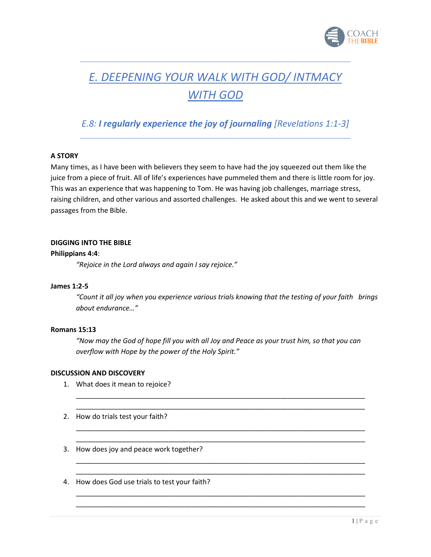

# *E. DEEPENING YOUR WALK WITH GOD/ INTMACY WITH GOD*

# *E.8: I regularly experience the joy of journaling [Revelations 1:1-3]*

## **A STORY**

Many times, as I have been with believers they seem to have had the joy squeezed out them like the juice from a piece of fruit. All of life's experiences have pummeled them and there is little room for joy. This was an experience that was happening to Tom. He was having job challenges, marriage stress, raising children, and other various and assorted challenges. He asked about this and we went to several passages from the Bible.

#### **DIGGING INTO THE BIBLE**

#### **Philippians 4:4**:

*"Rejoice in the Lord always and again I say rejoice."*

#### **James 1:2-5**

*"Count it all joy when you experience various trials knowing that the testing of your faith brings about endurance…"*

## **Romans 15:13**

*"Now may the God of hope fill you with all Joy and Peace as your trust him, so that you can overflow with Hope by the power of the Holy Spirit."*

\_\_\_\_\_\_\_\_\_\_\_\_\_\_\_\_\_\_\_\_\_\_\_\_\_\_\_\_\_\_\_\_\_\_\_\_\_\_\_\_\_\_\_\_\_\_\_\_\_\_\_\_\_\_\_\_\_\_\_\_\_\_\_\_\_\_\_\_\_\_\_\_\_\_\_ \_\_\_\_\_\_\_\_\_\_\_\_\_\_\_\_\_\_\_\_\_\_\_\_\_\_\_\_\_\_\_\_\_\_\_\_\_\_\_\_\_\_\_\_\_\_\_\_\_\_\_\_\_\_\_\_\_\_\_\_\_\_\_\_\_\_\_\_\_\_\_\_\_\_\_

\_\_\_\_\_\_\_\_\_\_\_\_\_\_\_\_\_\_\_\_\_\_\_\_\_\_\_\_\_\_\_\_\_\_\_\_\_\_\_\_\_\_\_\_\_\_\_\_\_\_\_\_\_\_\_\_\_\_\_\_\_\_\_\_\_\_\_\_\_\_\_\_\_\_\_ \_\_\_\_\_\_\_\_\_\_\_\_\_\_\_\_\_\_\_\_\_\_\_\_\_\_\_\_\_\_\_\_\_\_\_\_\_\_\_\_\_\_\_\_\_\_\_\_\_\_\_\_\_\_\_\_\_\_\_\_\_\_\_\_\_\_\_\_\_\_\_\_\_\_\_

\_\_\_\_\_\_\_\_\_\_\_\_\_\_\_\_\_\_\_\_\_\_\_\_\_\_\_\_\_\_\_\_\_\_\_\_\_\_\_\_\_\_\_\_\_\_\_\_\_\_\_\_\_\_\_\_\_\_\_\_\_\_\_\_\_\_\_\_\_\_\_\_\_\_\_ \_\_\_\_\_\_\_\_\_\_\_\_\_\_\_\_\_\_\_\_\_\_\_\_\_\_\_\_\_\_\_\_\_\_\_\_\_\_\_\_\_\_\_\_\_\_\_\_\_\_\_\_\_\_\_\_\_\_\_\_\_\_\_\_\_\_\_\_\_\_\_\_\_\_\_

\_\_\_\_\_\_\_\_\_\_\_\_\_\_\_\_\_\_\_\_\_\_\_\_\_\_\_\_\_\_\_\_\_\_\_\_\_\_\_\_\_\_\_\_\_\_\_\_\_\_\_\_\_\_\_\_\_\_\_\_\_\_\_\_\_\_\_\_\_\_\_\_\_\_\_ \_\_\_\_\_\_\_\_\_\_\_\_\_\_\_\_\_\_\_\_\_\_\_\_\_\_\_\_\_\_\_\_\_\_\_\_\_\_\_\_\_\_\_\_\_\_\_\_\_\_\_\_\_\_\_\_\_\_\_\_\_\_\_\_\_\_\_\_\_\_\_\_\_\_\_

#### **DISCUSSION AND DISCOVERY**

- 1. What does it mean to rejoice?
- 2. How do trials test your faith?
- 3. How does joy and peace work together?
- 4. How does God use trials to test your faith?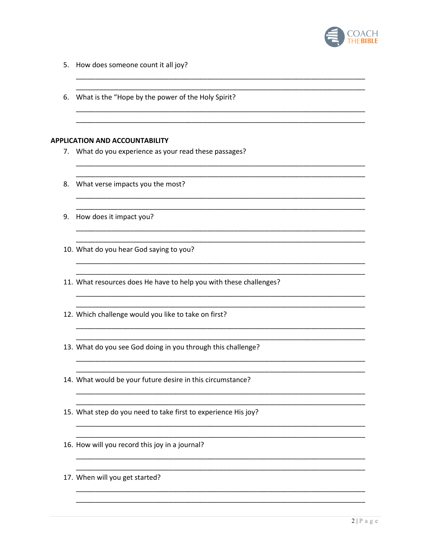

- 5. How does someone count it all joy?
- 6. What is the "Hope by the power of the Holy Spirit? **APPLICATION AND ACCOUNTABILITY** 7. What do you experience as your read these passages? 8. What verse impacts you the most? 9. How does it impact you? 10. What do you hear God saying to you? 11. What resources does He have to help you with these challenges? 12. Which challenge would you like to take on first? 13. What do you see God doing in you through this challenge? 14. What would be your future desire in this circumstance? 15. What step do you need to take first to experience His joy? 16. How will you record this joy in a journal? 17. When will you get started?